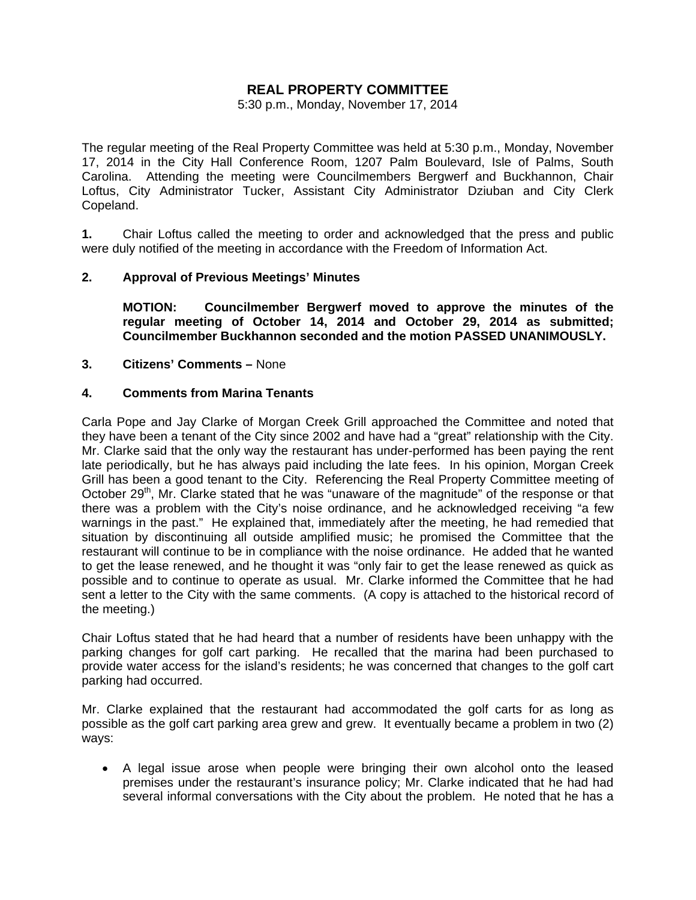# **REAL PROPERTY COMMITTEE**

5:30 p.m., Monday, November 17, 2014

The regular meeting of the Real Property Committee was held at 5:30 p.m., Monday, November 17, 2014 in the City Hall Conference Room, 1207 Palm Boulevard, Isle of Palms, South Carolina. Attending the meeting were Councilmembers Bergwerf and Buckhannon, Chair Loftus, City Administrator Tucker, Assistant City Administrator Dziuban and City Clerk Copeland.

**1.** Chair Loftus called the meeting to order and acknowledged that the press and public were duly notified of the meeting in accordance with the Freedom of Information Act.

# **2. Approval of Previous Meetings' Minutes**

**MOTION: Councilmember Bergwerf moved to approve the minutes of the regular meeting of October 14, 2014 and October 29, 2014 as submitted; Councilmember Buckhannon seconded and the motion PASSED UNANIMOUSLY.** 

#### **3. Citizens' Comments –** None

#### **4. Comments from Marina Tenants**

Carla Pope and Jay Clarke of Morgan Creek Grill approached the Committee and noted that they have been a tenant of the City since 2002 and have had a "great" relationship with the City. Mr. Clarke said that the only way the restaurant has under-performed has been paying the rent late periodically, but he has always paid including the late fees. In his opinion, Morgan Creek Grill has been a good tenant to the City. Referencing the Real Property Committee meeting of October 29<sup>th</sup>, Mr. Clarke stated that he was "unaware of the magnitude" of the response or that there was a problem with the City's noise ordinance, and he acknowledged receiving "a few warnings in the past." He explained that, immediately after the meeting, he had remedied that situation by discontinuing all outside amplified music; he promised the Committee that the restaurant will continue to be in compliance with the noise ordinance. He added that he wanted to get the lease renewed, and he thought it was "only fair to get the lease renewed as quick as possible and to continue to operate as usual. Mr. Clarke informed the Committee that he had sent a letter to the City with the same comments. (A copy is attached to the historical record of the meeting.)

Chair Loftus stated that he had heard that a number of residents have been unhappy with the parking changes for golf cart parking. He recalled that the marina had been purchased to provide water access for the island's residents; he was concerned that changes to the golf cart parking had occurred.

Mr. Clarke explained that the restaurant had accommodated the golf carts for as long as possible as the golf cart parking area grew and grew. It eventually became a problem in two (2) ways:

• A legal issue arose when people were bringing their own alcohol onto the leased premises under the restaurant's insurance policy; Mr. Clarke indicated that he had had several informal conversations with the City about the problem. He noted that he has a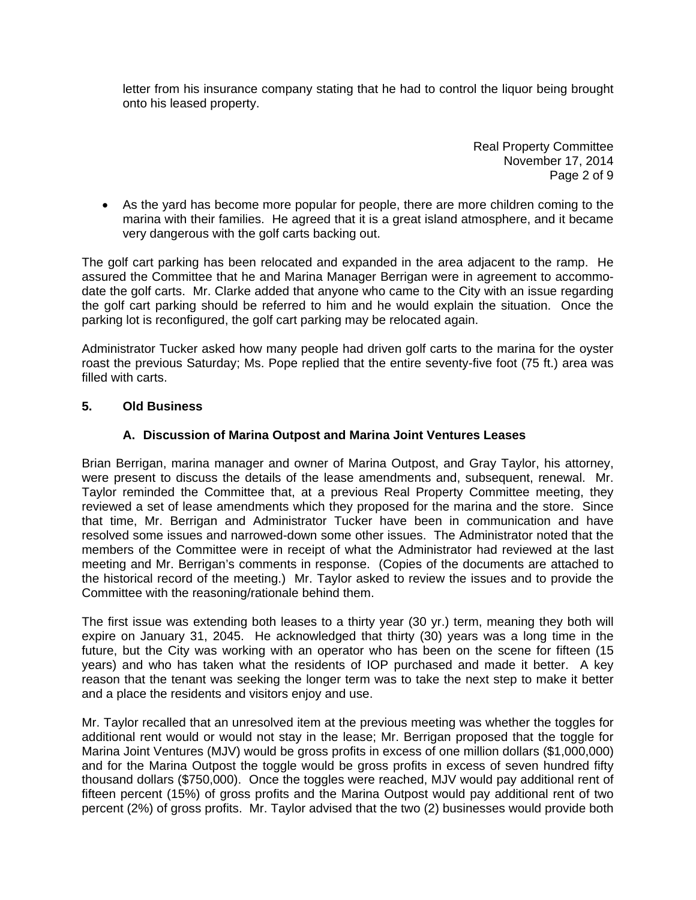letter from his insurance company stating that he had to control the liquor being brought onto his leased property.

> Real Property Committee November 17, 2014 Page 2 of 9

• As the yard has become more popular for people, there are more children coming to the marina with their families. He agreed that it is a great island atmosphere, and it became very dangerous with the golf carts backing out.

The golf cart parking has been relocated and expanded in the area adjacent to the ramp. He assured the Committee that he and Marina Manager Berrigan were in agreement to accommodate the golf carts. Mr. Clarke added that anyone who came to the City with an issue regarding the golf cart parking should be referred to him and he would explain the situation. Once the parking lot is reconfigured, the golf cart parking may be relocated again.

Administrator Tucker asked how many people had driven golf carts to the marina for the oyster roast the previous Saturday; Ms. Pope replied that the entire seventy-five foot (75 ft.) area was filled with carts.

# **5. Old Business**

# **A. Discussion of Marina Outpost and Marina Joint Ventures Leases**

Brian Berrigan, marina manager and owner of Marina Outpost, and Gray Taylor, his attorney, were present to discuss the details of the lease amendments and, subsequent, renewal. Mr. Taylor reminded the Committee that, at a previous Real Property Committee meeting, they reviewed a set of lease amendments which they proposed for the marina and the store. Since that time, Mr. Berrigan and Administrator Tucker have been in communication and have resolved some issues and narrowed-down some other issues. The Administrator noted that the members of the Committee were in receipt of what the Administrator had reviewed at the last meeting and Mr. Berrigan's comments in response. (Copies of the documents are attached to the historical record of the meeting.) Mr. Taylor asked to review the issues and to provide the Committee with the reasoning/rationale behind them.

The first issue was extending both leases to a thirty year (30 yr.) term, meaning they both will expire on January 31, 2045. He acknowledged that thirty (30) years was a long time in the future, but the City was working with an operator who has been on the scene for fifteen (15 years) and who has taken what the residents of IOP purchased and made it better. A key reason that the tenant was seeking the longer term was to take the next step to make it better and a place the residents and visitors enjoy and use.

Mr. Taylor recalled that an unresolved item at the previous meeting was whether the toggles for additional rent would or would not stay in the lease; Mr. Berrigan proposed that the toggle for Marina Joint Ventures (MJV) would be gross profits in excess of one million dollars (\$1,000,000) and for the Marina Outpost the toggle would be gross profits in excess of seven hundred fifty thousand dollars (\$750,000). Once the toggles were reached, MJV would pay additional rent of fifteen percent (15%) of gross profits and the Marina Outpost would pay additional rent of two percent (2%) of gross profits. Mr. Taylor advised that the two (2) businesses would provide both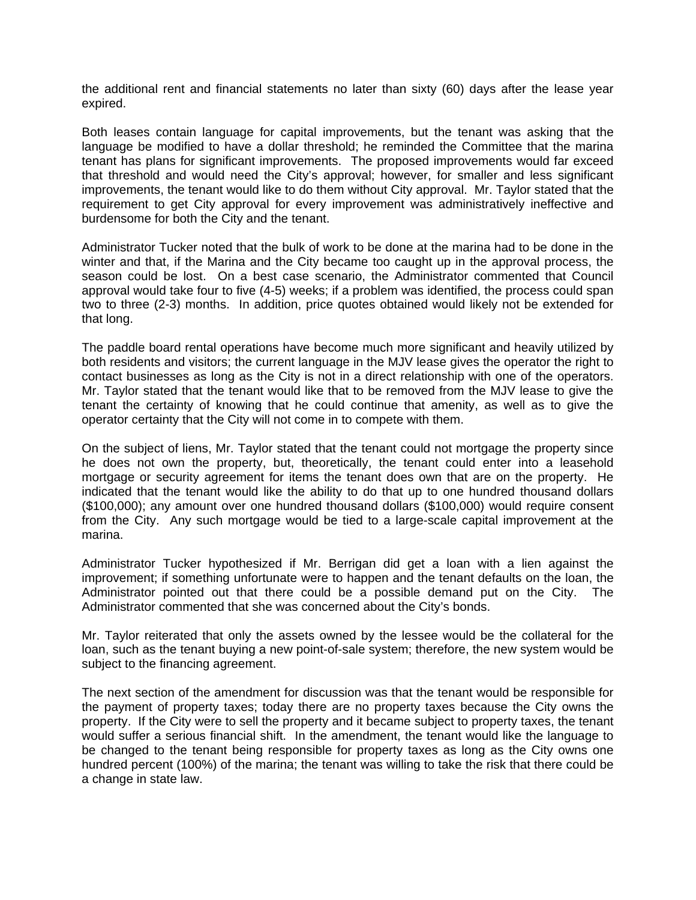the additional rent and financial statements no later than sixty (60) days after the lease year expired.

Both leases contain language for capital improvements, but the tenant was asking that the language be modified to have a dollar threshold; he reminded the Committee that the marina tenant has plans for significant improvements. The proposed improvements would far exceed that threshold and would need the City's approval; however, for smaller and less significant improvements, the tenant would like to do them without City approval. Mr. Taylor stated that the requirement to get City approval for every improvement was administratively ineffective and burdensome for both the City and the tenant.

Administrator Tucker noted that the bulk of work to be done at the marina had to be done in the winter and that, if the Marina and the City became too caught up in the approval process, the season could be lost. On a best case scenario, the Administrator commented that Council approval would take four to five (4-5) weeks; if a problem was identified, the process could span two to three (2-3) months. In addition, price quotes obtained would likely not be extended for that long.

The paddle board rental operations have become much more significant and heavily utilized by both residents and visitors; the current language in the MJV lease gives the operator the right to contact businesses as long as the City is not in a direct relationship with one of the operators. Mr. Taylor stated that the tenant would like that to be removed from the MJV lease to give the tenant the certainty of knowing that he could continue that amenity, as well as to give the operator certainty that the City will not come in to compete with them.

On the subject of liens, Mr. Taylor stated that the tenant could not mortgage the property since he does not own the property, but, theoretically, the tenant could enter into a leasehold mortgage or security agreement for items the tenant does own that are on the property. He indicated that the tenant would like the ability to do that up to one hundred thousand dollars (\$100,000); any amount over one hundred thousand dollars (\$100,000) would require consent from the City. Any such mortgage would be tied to a large-scale capital improvement at the marina.

Administrator Tucker hypothesized if Mr. Berrigan did get a loan with a lien against the improvement; if something unfortunate were to happen and the tenant defaults on the loan, the Administrator pointed out that there could be a possible demand put on the City. The Administrator commented that she was concerned about the City's bonds.

Mr. Taylor reiterated that only the assets owned by the lessee would be the collateral for the loan, such as the tenant buying a new point-of-sale system; therefore, the new system would be subject to the financing agreement.

The next section of the amendment for discussion was that the tenant would be responsible for the payment of property taxes; today there are no property taxes because the City owns the property. If the City were to sell the property and it became subject to property taxes, the tenant would suffer a serious financial shift. In the amendment, the tenant would like the language to be changed to the tenant being responsible for property taxes as long as the City owns one hundred percent (100%) of the marina; the tenant was willing to take the risk that there could be a change in state law.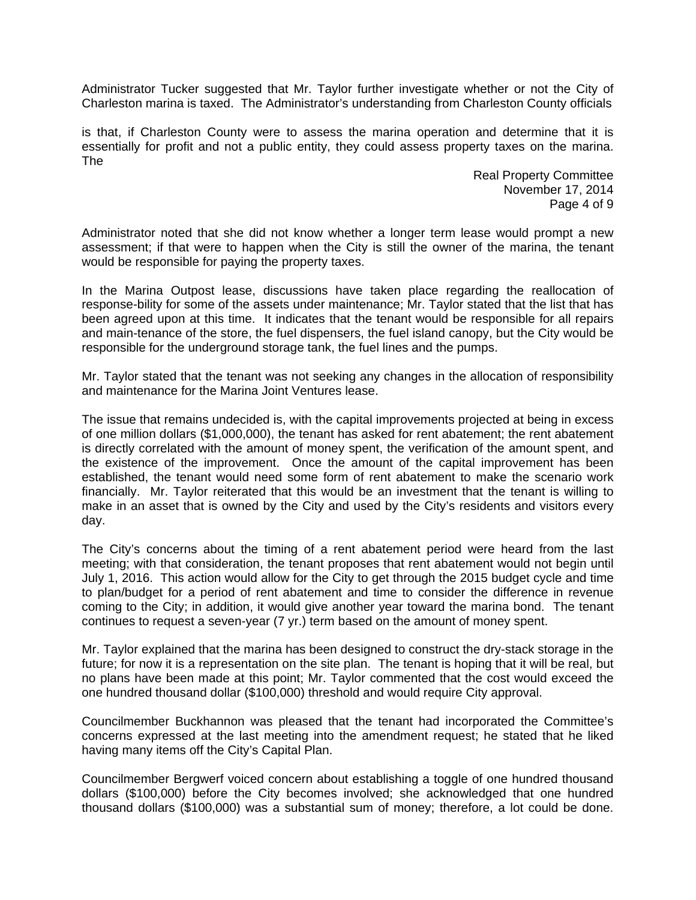Administrator Tucker suggested that Mr. Taylor further investigate whether or not the City of Charleston marina is taxed. The Administrator's understanding from Charleston County officials

is that, if Charleston County were to assess the marina operation and determine that it is essentially for profit and not a public entity, they could assess property taxes on the marina. The

> Real Property Committee November 17, 2014 Page 4 of 9

Administrator noted that she did not know whether a longer term lease would prompt a new assessment; if that were to happen when the City is still the owner of the marina, the tenant would be responsible for paying the property taxes.

In the Marina Outpost lease, discussions have taken place regarding the reallocation of response-bility for some of the assets under maintenance; Mr. Taylor stated that the list that has been agreed upon at this time. It indicates that the tenant would be responsible for all repairs and main-tenance of the store, the fuel dispensers, the fuel island canopy, but the City would be responsible for the underground storage tank, the fuel lines and the pumps.

Mr. Taylor stated that the tenant was not seeking any changes in the allocation of responsibility and maintenance for the Marina Joint Ventures lease.

The issue that remains undecided is, with the capital improvements projected at being in excess of one million dollars (\$1,000,000), the tenant has asked for rent abatement; the rent abatement is directly correlated with the amount of money spent, the verification of the amount spent, and the existence of the improvement. Once the amount of the capital improvement has been established, the tenant would need some form of rent abatement to make the scenario work financially. Mr. Taylor reiterated that this would be an investment that the tenant is willing to make in an asset that is owned by the City and used by the City's residents and visitors every day.

The City's concerns about the timing of a rent abatement period were heard from the last meeting; with that consideration, the tenant proposes that rent abatement would not begin until July 1, 2016. This action would allow for the City to get through the 2015 budget cycle and time to plan/budget for a period of rent abatement and time to consider the difference in revenue coming to the City; in addition, it would give another year toward the marina bond. The tenant continues to request a seven-year (7 yr.) term based on the amount of money spent.

Mr. Taylor explained that the marina has been designed to construct the dry-stack storage in the future; for now it is a representation on the site plan. The tenant is hoping that it will be real, but no plans have been made at this point; Mr. Taylor commented that the cost would exceed the one hundred thousand dollar (\$100,000) threshold and would require City approval.

Councilmember Buckhannon was pleased that the tenant had incorporated the Committee's concerns expressed at the last meeting into the amendment request; he stated that he liked having many items off the City's Capital Plan.

Councilmember Bergwerf voiced concern about establishing a toggle of one hundred thousand dollars (\$100,000) before the City becomes involved; she acknowledged that one hundred thousand dollars (\$100,000) was a substantial sum of money; therefore, a lot could be done.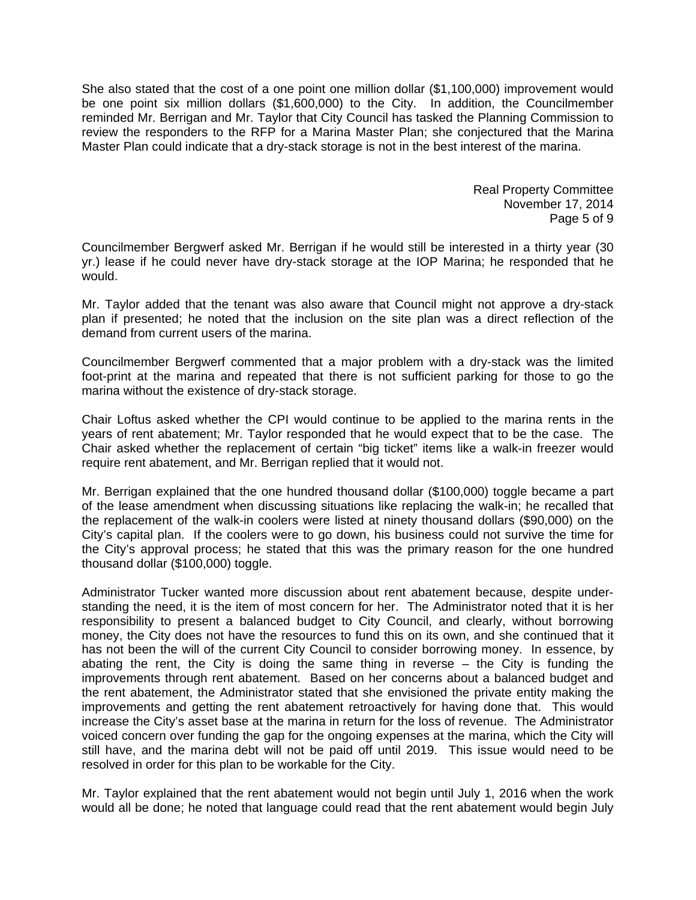She also stated that the cost of a one point one million dollar (\$1,100,000) improvement would be one point six million dollars (\$1,600,000) to the City. In addition, the Councilmember reminded Mr. Berrigan and Mr. Taylor that City Council has tasked the Planning Commission to review the responders to the RFP for a Marina Master Plan; she conjectured that the Marina Master Plan could indicate that a dry-stack storage is not in the best interest of the marina.

> Real Property Committee November 17, 2014 Page 5 of 9

Councilmember Bergwerf asked Mr. Berrigan if he would still be interested in a thirty year (30 yr.) lease if he could never have dry-stack storage at the IOP Marina; he responded that he would.

Mr. Taylor added that the tenant was also aware that Council might not approve a dry-stack plan if presented; he noted that the inclusion on the site plan was a direct reflection of the demand from current users of the marina.

Councilmember Bergwerf commented that a major problem with a dry-stack was the limited foot-print at the marina and repeated that there is not sufficient parking for those to go the marina without the existence of dry-stack storage.

Chair Loftus asked whether the CPI would continue to be applied to the marina rents in the years of rent abatement; Mr. Taylor responded that he would expect that to be the case. The Chair asked whether the replacement of certain "big ticket" items like a walk-in freezer would require rent abatement, and Mr. Berrigan replied that it would not.

Mr. Berrigan explained that the one hundred thousand dollar (\$100,000) toggle became a part of the lease amendment when discussing situations like replacing the walk-in; he recalled that the replacement of the walk-in coolers were listed at ninety thousand dollars (\$90,000) on the City's capital plan. If the coolers were to go down, his business could not survive the time for the City's approval process; he stated that this was the primary reason for the one hundred thousand dollar (\$100,000) toggle.

Administrator Tucker wanted more discussion about rent abatement because, despite understanding the need, it is the item of most concern for her. The Administrator noted that it is her responsibility to present a balanced budget to City Council, and clearly, without borrowing money, the City does not have the resources to fund this on its own, and she continued that it has not been the will of the current City Council to consider borrowing money. In essence, by abating the rent, the City is doing the same thing in reverse  $-$  the City is funding the improvements through rent abatement. Based on her concerns about a balanced budget and the rent abatement, the Administrator stated that she envisioned the private entity making the improvements and getting the rent abatement retroactively for having done that. This would increase the City's asset base at the marina in return for the loss of revenue. The Administrator voiced concern over funding the gap for the ongoing expenses at the marina, which the City will still have, and the marina debt will not be paid off until 2019. This issue would need to be resolved in order for this plan to be workable for the City.

Mr. Taylor explained that the rent abatement would not begin until July 1, 2016 when the work would all be done; he noted that language could read that the rent abatement would begin July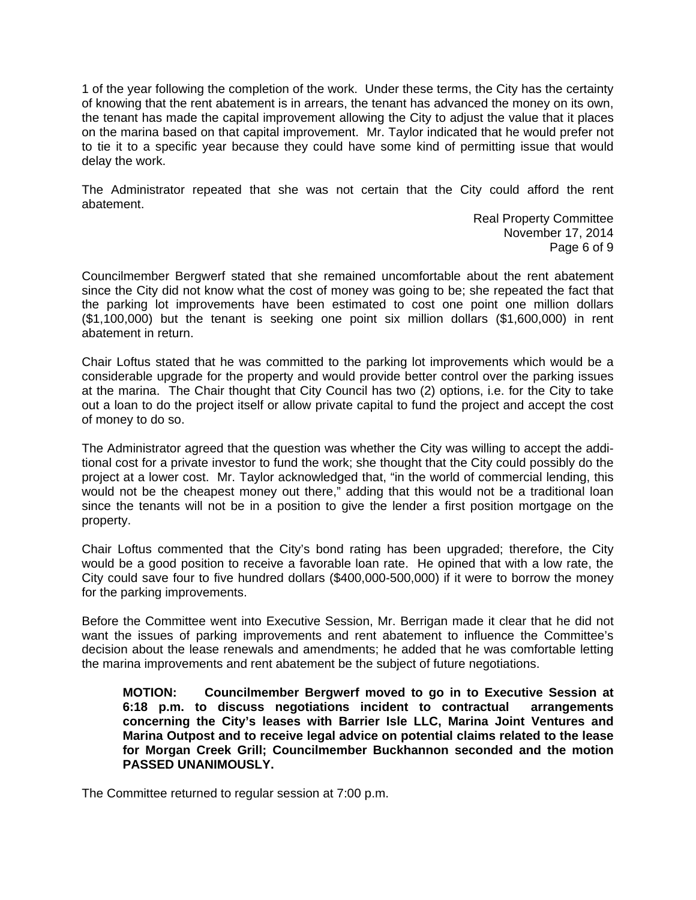1 of the year following the completion of the work. Under these terms, the City has the certainty of knowing that the rent abatement is in arrears, the tenant has advanced the money on its own, the tenant has made the capital improvement allowing the City to adjust the value that it places on the marina based on that capital improvement. Mr. Taylor indicated that he would prefer not to tie it to a specific year because they could have some kind of permitting issue that would delay the work.

The Administrator repeated that she was not certain that the City could afford the rent abatement.

> Real Property Committee November 17, 2014 Page 6 of 9

Councilmember Bergwerf stated that she remained uncomfortable about the rent abatement since the City did not know what the cost of money was going to be; she repeated the fact that the parking lot improvements have been estimated to cost one point one million dollars (\$1,100,000) but the tenant is seeking one point six million dollars (\$1,600,000) in rent abatement in return.

Chair Loftus stated that he was committed to the parking lot improvements which would be a considerable upgrade for the property and would provide better control over the parking issues at the marina. The Chair thought that City Council has two (2) options, i.e. for the City to take out a loan to do the project itself or allow private capital to fund the project and accept the cost of money to do so.

The Administrator agreed that the question was whether the City was willing to accept the additional cost for a private investor to fund the work; she thought that the City could possibly do the project at a lower cost. Mr. Taylor acknowledged that, "in the world of commercial lending, this would not be the cheapest money out there," adding that this would not be a traditional loan since the tenants will not be in a position to give the lender a first position mortgage on the property.

Chair Loftus commented that the City's bond rating has been upgraded; therefore, the City would be a good position to receive a favorable loan rate. He opined that with a low rate, the City could save four to five hundred dollars (\$400,000-500,000) if it were to borrow the money for the parking improvements.

Before the Committee went into Executive Session, Mr. Berrigan made it clear that he did not want the issues of parking improvements and rent abatement to influence the Committee's decision about the lease renewals and amendments; he added that he was comfortable letting the marina improvements and rent abatement be the subject of future negotiations.

**MOTION: Councilmember Bergwerf moved to go in to Executive Session at 6:18 p.m. to discuss negotiations incident to contractual arrangements concerning the City's leases with Barrier Isle LLC, Marina Joint Ventures and Marina Outpost and to receive legal advice on potential claims related to the lease for Morgan Creek Grill; Councilmember Buckhannon seconded and the motion PASSED UNANIMOUSLY.** 

The Committee returned to regular session at 7:00 p.m.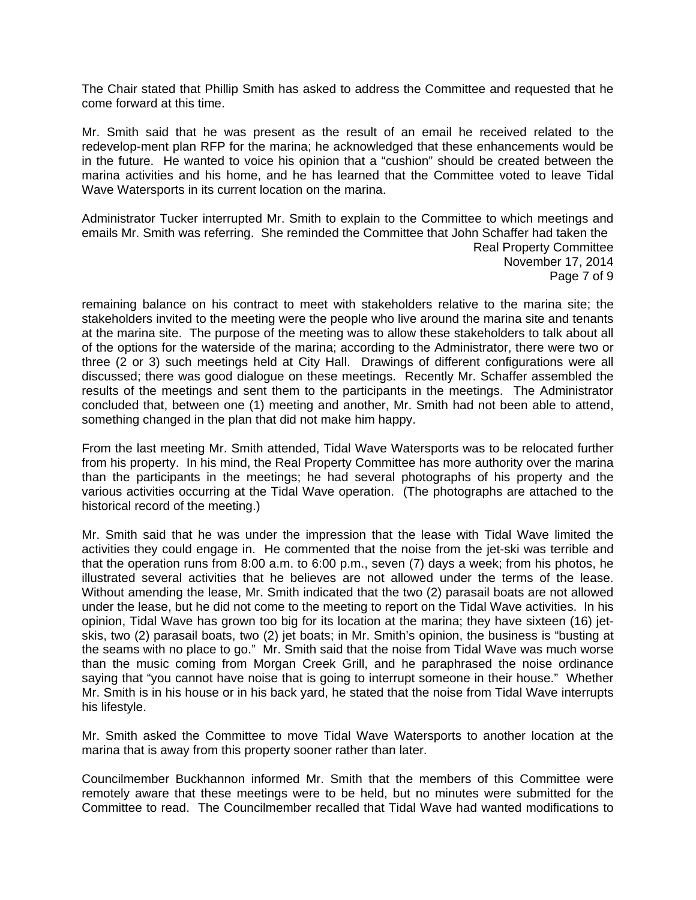The Chair stated that Phillip Smith has asked to address the Committee and requested that he come forward at this time.

Mr. Smith said that he was present as the result of an email he received related to the redevelop-ment plan RFP for the marina; he acknowledged that these enhancements would be in the future. He wanted to voice his opinion that a "cushion" should be created between the marina activities and his home, and he has learned that the Committee voted to leave Tidal Wave Watersports in its current location on the marina.

Administrator Tucker interrupted Mr. Smith to explain to the Committee to which meetings and emails Mr. Smith was referring. She reminded the Committee that John Schaffer had taken the Real Property Committee November 17, 2014 Page 7 of 9

remaining balance on his contract to meet with stakeholders relative to the marina site; the stakeholders invited to the meeting were the people who live around the marina site and tenants at the marina site. The purpose of the meeting was to allow these stakeholders to talk about all of the options for the waterside of the marina; according to the Administrator, there were two or three (2 or 3) such meetings held at City Hall. Drawings of different configurations were all discussed; there was good dialogue on these meetings. Recently Mr. Schaffer assembled the results of the meetings and sent them to the participants in the meetings. The Administrator concluded that, between one (1) meeting and another, Mr. Smith had not been able to attend, something changed in the plan that did not make him happy.

From the last meeting Mr. Smith attended, Tidal Wave Watersports was to be relocated further from his property. In his mind, the Real Property Committee has more authority over the marina than the participants in the meetings; he had several photographs of his property and the various activities occurring at the Tidal Wave operation. (The photographs are attached to the historical record of the meeting.)

Mr. Smith said that he was under the impression that the lease with Tidal Wave limited the activities they could engage in. He commented that the noise from the jet-ski was terrible and that the operation runs from 8:00 a.m. to 6:00 p.m., seven (7) days a week; from his photos, he illustrated several activities that he believes are not allowed under the terms of the lease. Without amending the lease, Mr. Smith indicated that the two (2) parasail boats are not allowed under the lease, but he did not come to the meeting to report on the Tidal Wave activities. In his opinion, Tidal Wave has grown too big for its location at the marina; they have sixteen (16) jetskis, two (2) parasail boats, two (2) jet boats; in Mr. Smith's opinion, the business is "busting at the seams with no place to go." Mr. Smith said that the noise from Tidal Wave was much worse than the music coming from Morgan Creek Grill, and he paraphrased the noise ordinance saying that "you cannot have noise that is going to interrupt someone in their house." Whether Mr. Smith is in his house or in his back yard, he stated that the noise from Tidal Wave interrupts his lifestyle.

Mr. Smith asked the Committee to move Tidal Wave Watersports to another location at the marina that is away from this property sooner rather than later.

Councilmember Buckhannon informed Mr. Smith that the members of this Committee were remotely aware that these meetings were to be held, but no minutes were submitted for the Committee to read. The Councilmember recalled that Tidal Wave had wanted modifications to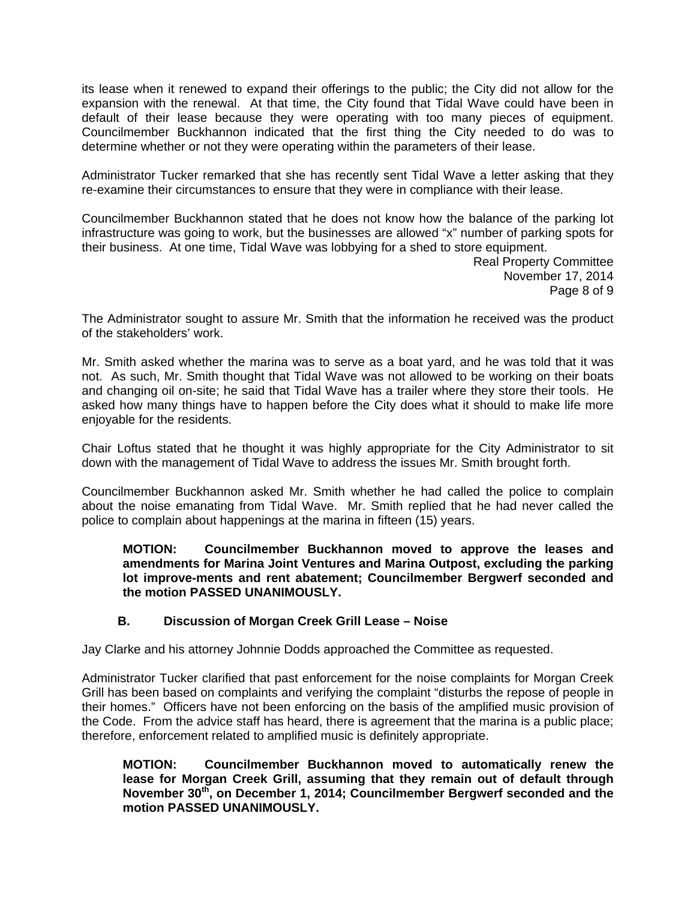its lease when it renewed to expand their offerings to the public; the City did not allow for the expansion with the renewal. At that time, the City found that Tidal Wave could have been in default of their lease because they were operating with too many pieces of equipment. Councilmember Buckhannon indicated that the first thing the City needed to do was to determine whether or not they were operating within the parameters of their lease.

Administrator Tucker remarked that she has recently sent Tidal Wave a letter asking that they re-examine their circumstances to ensure that they were in compliance with their lease.

Councilmember Buckhannon stated that he does not know how the balance of the parking lot infrastructure was going to work, but the businesses are allowed "x" number of parking spots for their business. At one time, Tidal Wave was lobbying for a shed to store equipment.

Real Property Committee November 17, 2014 Page 8 of 9

The Administrator sought to assure Mr. Smith that the information he received was the product of the stakeholders' work.

Mr. Smith asked whether the marina was to serve as a boat yard, and he was told that it was not. As such, Mr. Smith thought that Tidal Wave was not allowed to be working on their boats and changing oil on-site; he said that Tidal Wave has a trailer where they store their tools. He asked how many things have to happen before the City does what it should to make life more enjoyable for the residents.

Chair Loftus stated that he thought it was highly appropriate for the City Administrator to sit down with the management of Tidal Wave to address the issues Mr. Smith brought forth.

Councilmember Buckhannon asked Mr. Smith whether he had called the police to complain about the noise emanating from Tidal Wave. Mr. Smith replied that he had never called the police to complain about happenings at the marina in fifteen (15) years.

**MOTION: Councilmember Buckhannon moved to approve the leases and amendments for Marina Joint Ventures and Marina Outpost, excluding the parking lot improve-ments and rent abatement; Councilmember Bergwerf seconded and the motion PASSED UNANIMOUSLY.** 

# **B. Discussion of Morgan Creek Grill Lease – Noise**

Jay Clarke and his attorney Johnnie Dodds approached the Committee as requested.

Administrator Tucker clarified that past enforcement for the noise complaints for Morgan Creek Grill has been based on complaints and verifying the complaint "disturbs the repose of people in their homes." Officers have not been enforcing on the basis of the amplified music provision of the Code. From the advice staff has heard, there is agreement that the marina is a public place; therefore, enforcement related to amplified music is definitely appropriate.

**MOTION: Councilmember Buckhannon moved to automatically renew the lease for Morgan Creek Grill, assuming that they remain out of default through November 30th, on December 1, 2014; Councilmember Bergwerf seconded and the motion PASSED UNANIMOUSLY.**